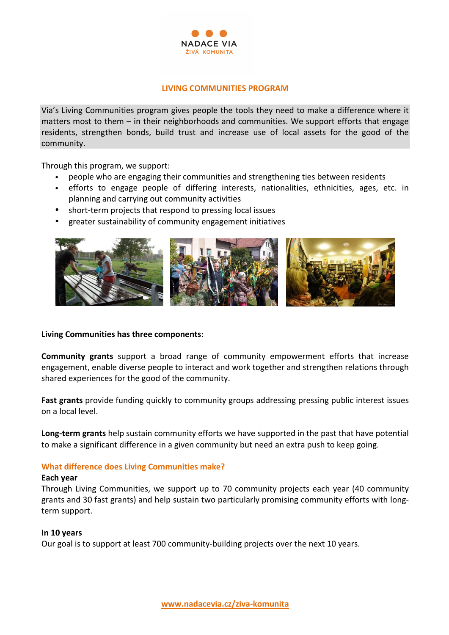

## **LIVING COMMUNITIES PROGRAM**

Via's Living Communities program gives people the tools they need to make a difference where it matters most to them  $-$  in their neighborhoods and communities. We support efforts that engage residents, strengthen bonds, build trust and increase use of local assets for the good of the community. 

Through this program, we support:

- people who are engaging their communities and strengthening ties between residents
- efforts to engage people of differing interests, nationalities, ethnicities, ages, etc. in planning and carrying out community activities
- short-term projects that respond to pressing local issues
- greater sustainability of community engagement initiatives



## Living Communities has three components:

**Community grants** support a broad range of community empowerment efforts that increase engagement, enable diverse people to interact and work together and strengthen relations through shared experiences for the good of the community.

**Fast grants** provide funding quickly to community groups addressing pressing public interest issues on a local level.

**Long-term grants** help sustain community efforts we have supported in the past that have potential to make a significant difference in a given community but need an extra push to keep going.

## **What difference does Living Communities make?**

#### **Each year**

Through Living Communities, we support up to 70 community projects each year (40 community grants and 30 fast grants) and help sustain two particularly promising community efforts with longterm support.

## **In 10 years**

Our goal is to support at least 700 community-building projects over the next 10 years.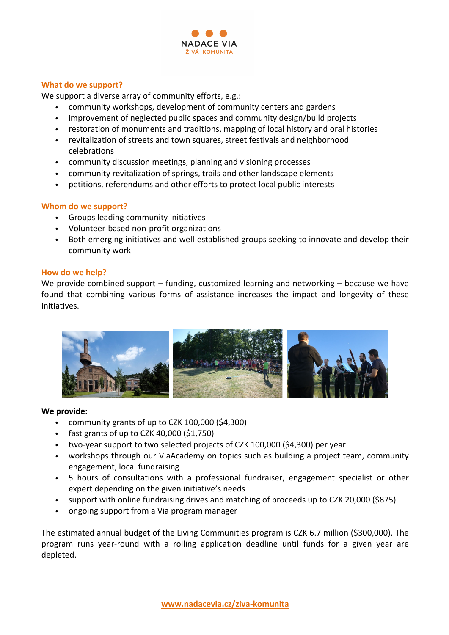

# **What do we support?**

We support a diverse array of community efforts, e.g.:

- community workshops, development of community centers and gardens
- improvement of neglected public spaces and community design/build projects
- restoration of monuments and traditions, mapping of local history and oral histories
- revitalization of streets and town squares, street festivals and neighborhood celebrations
- community discussion meetings, planning and visioning processes
- community revitalization of springs, trails and other landscape elements
- petitions, referendums and other efforts to protect local public interests

## **Whom do we support?**

- Groups leading community initiatives
- Volunteer-based non-profit organizations
- Both emerging initiatives and well-established groups seeking to innovate and develop their community work

## **How do we help?**

We provide combined support – funding, customized learning and networking – because we have found that combining various forms of assistance increases the impact and longevity of these initiatives. 



## We provide:

- community grants of up to CZK 100,000 (\$4,300)
- $\cdot$  fast grants of up to CZK 40,000 (\$1,750)
- two-year support to two selected projects of CZK 100,000 (\$4,300) per year
- workshops through our ViaAcademy on topics such as building a project team, community engagement, local fundraising
- 5 hours of consultations with a professional fundraiser, engagement specialist or other expert depending on the given initiative's needs
- support with online fundraising drives and matching of proceeds up to CZK 20,000 (\$875)
- ongoing support from a Via program manager

The estimated annual budget of the Living Communities program is CZK 6.7 million (\$300,000). The program runs year-round with a rolling application deadline until funds for a given year are depleted.